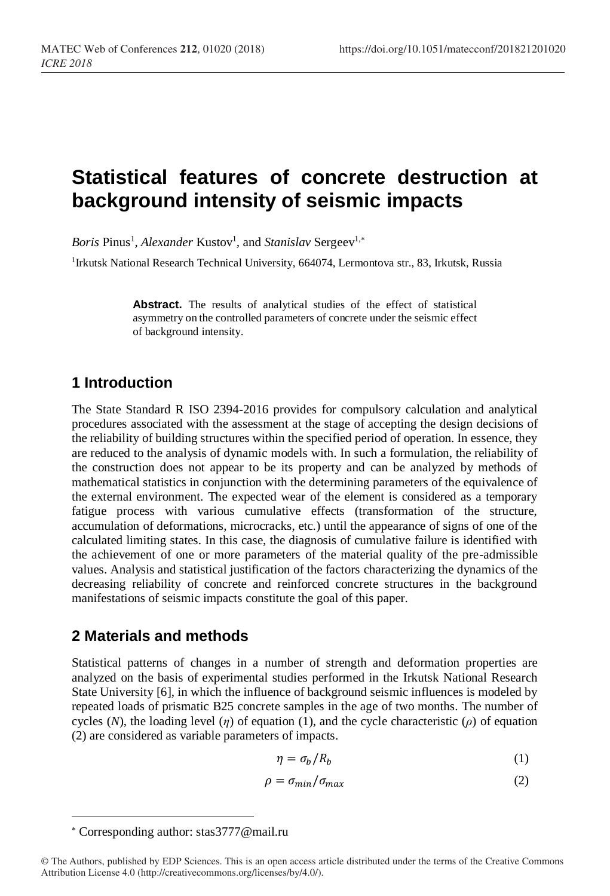# **Statistical features of concrete destruction at background intensity of seismic impacts**

*Boris* Pinus<sup>1</sup>, *Alexander* Kustov<sup>1</sup>, and *Stanislav* Sergeev<sup>1,\*</sup>

<sup>1</sup>Irkutsk National Research Technical University, 664074, Lermontova str., 83, Irkutsk, Russia

**Abstract.** The results of analytical studies of the effect of statistical asymmetry on the controlled parameters of concrete under the seismic effect of background intensity.

## **1 Introduction**

The State Standard R ISO 2394-2016 provides for compulsory calculation and analytical procedures associated with the assessment at the stage of accepting the design decisions of the reliability of building structures within the specified period of operation. In essence, they are reduced to the analysis of dynamic models with. In such a formulation, the reliability of the construction does not appear to be its property and can be analyzed by methods of mathematical statistics in conjunction with the determining parameters of the equivalence of the external environment. The expected wear of the element is considered as a temporary fatigue process with various cumulative effects (transformation of the structure, accumulation of deformations, microcracks, etc.) until the appearance of signs of one of the calculated limiting states. In this case, the diagnosis of cumulative failure is identified with the achievement of one or more parameters of the material quality of the pre-admissible values. Analysis and statistical justification of the factors characterizing the dynamics of the decreasing reliability of concrete and reinforced concrete structures in the background manifestations of seismic impacts constitute the goal of this paper.

## **2 Materials and methods**

Statistical patterns of changes in a number of strength and deformation properties are analyzed on the basis of experimental studies performed in the Irkutsk National Research State University [6], in which the influence of background seismic influences is modeled by repeated loads of prismatic B25 concrete samples in the age of two months. The number of cycles (*N*), the loading level (*η*) of equation (1), and the cycle characteristic (*ρ*) of equation (2) are considered as variable parameters of impacts.

$$
\eta = \sigma_b / R_b \tag{1}
$$

$$
\rho = \sigma_{\min}/\sigma_{\max} \tag{2}
$$

l

Corresponding author: stas3777@mail.ru

<sup>©</sup> The Authors, published by EDP Sciences. This is an open access article distributed under the terms of the Creative Commons Attribution License 4.0 (http://creativecommons.org/licenses/by/4.0/).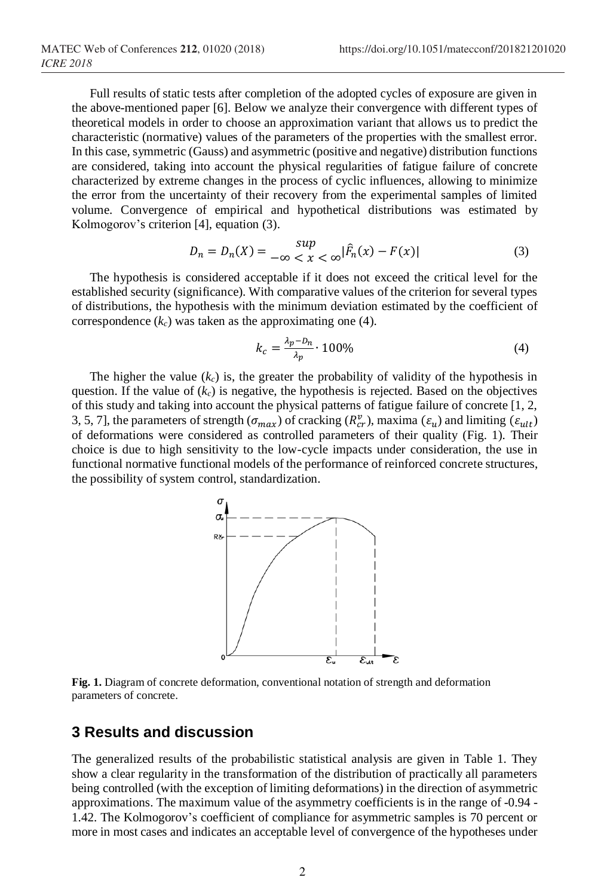Full results of static tests after completion of the adopted cycles of exposure are given in the above-mentioned paper [6]. Below we analyze their convergence with different types of theoretical models in order to choose an approximation variant that allows us to predict the characteristic (normative) values of the parameters of the properties with the smallest error. In this case, symmetric (Gauss) and asymmetric (positive and negative) distribution functions are considered, taking into account the physical regularities of fatigue failure of concrete characterized by extreme changes in the process of cyclic influences, allowing to minimize the error from the uncertainty of their recovery from the experimental samples of limited volume. Convergence of empirical and hypothetical distributions was estimated by Kolmogorov's criterion [4], equation (3).

$$
D_n = D_n(X) = \sup_{-\infty < x < \infty} |\hat{F}_n(x) - F(x)| \tag{3}
$$

The hypothesis is considered acceptable if it does not exceed the critical level for the established security (significance). With comparative values of the criterion for several types of distributions, the hypothesis with the minimum deviation estimated by the coefficient of correspondence  $(k_c)$  was taken as the approximating one (4).

$$
k_c = \frac{\lambda_p - D_n}{\lambda_p} \cdot 100\%
$$
\n<sup>(4)</sup>

The higher the value  $(k<sub>c</sub>)$  is, the greater the probability of validity of the hypothesis in question. If the value of  $(k_c)$  is negative, the hypothesis is rejected. Based on the objectives of this study and taking into account the physical patterns of fatigue failure of concrete [1, 2, 3, 5, 7], the parameters of strength  $(\sigma_{max})$  of cracking  $(R_{cr}^{\nu})$ , maxima  $(\varepsilon_u)$  and limiting  $(\varepsilon_{ult})$ of deformations were considered as controlled parameters of their quality (Fig. 1). Their choice is due to high sensitivity to the low-cycle impacts under consideration, the use in functional normative functional models of the performance of reinforced concrete structures, the possibility of system control, standardization.



**Fig. 1.** Diagram of concrete deformation, conventional notation of strength and deformation parameters of concrete.

#### **3 Results and discussion**

The generalized results of the probabilistic statistical analysis are given in Table 1. They show a clear regularity in the transformation of the distribution of practically all parameters being controlled (with the exception of limiting deformations) in the direction of asymmetric approximations. The maximum value of the asymmetry coefficients is in the range of -0.94 - 1.42. The Kolmogorov's coefficient of compliance for asymmetric samples is 70 percent or more in most cases and indicates an acceptable level of convergence of the hypotheses under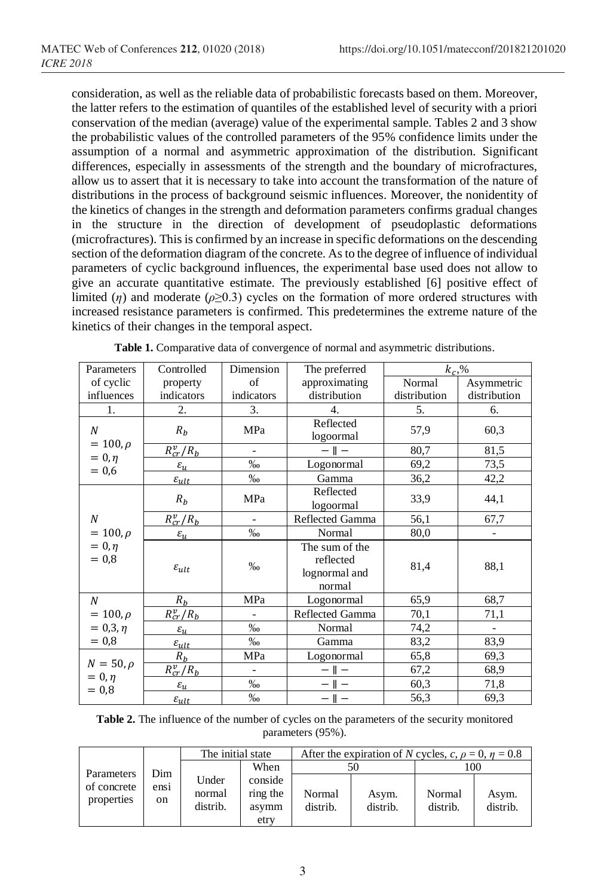consideration, as well as the reliable data of probabilistic forecasts based on them. Moreover, the latter refers to the estimation of quantiles of the established level of security with a priori conservation of the median (average) value of the experimental sample. Tables 2 and 3 show the probabilistic values of the controlled parameters of the 95% confidence limits under the assumption of a normal and asymmetric approximation of the distribution. Significant differences, especially in assessments of the strength and the boundary of microfractures, allow us to assert that it is necessary to take into account the transformation of the nature of distributions in the process of background seismic influences. Moreover, the nonidentity of the kinetics of changes in the strength and deformation parameters confirms gradual changes in the structure in the direction of development of pseudoplastic deformations (microfractures). This is confirmed by an increase in specific deformations on the descending section of the deformation diagram of the concrete. As to the degree of influence of individual parameters of cyclic background influences, the experimental base used does not allow to give an accurate quantitative estimate. The previously established [6] positive effect of limited (*η*) and moderate ( $\rho \geq 0.3$ ) cycles on the formation of more ordered structures with increased resistance parameters is confirmed. This predetermines the extreme nature of the kinetics of their changes in the temporal aspect.

| Parameters                            | Controlled                                          | Dimension       | The preferred                                          | $k_c, %$     |                          |
|---------------------------------------|-----------------------------------------------------|-----------------|--------------------------------------------------------|--------------|--------------------------|
| of cyclic                             | property                                            |                 | approximating                                          | Normal       | Asymmetric               |
| influences<br>indicators              |                                                     | indicators      | distribution                                           | distribution | distribution             |
| 1.                                    | 2.                                                  | 3.              | 4.                                                     | 5.           | 6.                       |
| N                                     | $R_b$                                               | MPa             | Reflected<br>logoormal                                 | 57,9         | 60,3                     |
| $= 100, \rho$                         | $R_{cr}^v/R_b$                                      | $- \parallel -$ |                                                        | 80,7         | 81,5                     |
| $= 0, \eta$<br>$= 0,6$                | $\varepsilon_u$                                     | $\%$            | Logonormal                                             |              | 73,5                     |
|                                       | $\varepsilon_{ult}$                                 | $\%$            | Gamma                                                  | 36,2         | 42,2                     |
|                                       | $R_b$                                               | MPa             | Reflected<br>logoormal                                 | 33,9         | 44,1                     |
| N                                     | $R_{cr}^v/R_b$<br>Reflected Gamma<br>$\overline{a}$ |                 | 56,1                                                   | 67,7         |                          |
| $= 100, \rho$                         | $\varepsilon_{u}$                                   | $\% 0$          | Normal                                                 | 80,0         |                          |
| $= 0, \eta$<br>$= 0.8$                | $\varepsilon_{ult}$                                 | $\%$            | The sum of the<br>reflected<br>lognormal and<br>normal | 81,4         | 88,1                     |
| N                                     | $R_b$                                               | MPa             | Logonormal                                             | 65,9         | 68,7                     |
| $= 100, \rho$                         | $R_{cr}^v/R_b$                                      |                 | Reflected Gamma                                        | 70,1         | 71,1                     |
| $= 0, 3, \eta$                        | $\varepsilon_u$                                     | $\frac{0}{00}$  | Normal                                                 | 74,2         | $\overline{\phantom{a}}$ |
| $= 0.8$                               | $\varepsilon_{ult}$                                 | $\%$ o          | Gamma                                                  | 83,2         | 83,9                     |
| $N=50,\rho$<br>$= 0, \eta$<br>$= 0.8$ | $R_b$                                               | MPa             | Logonormal                                             | 65,8         | 69,3                     |
|                                       | $R_{cr}^v/R_b$                                      | $\overline{a}$  | $- \parallel -$                                        |              | 68,9                     |
|                                       | $\varepsilon_u$                                     | $\%$            |                                                        | 60,3         | 71,8                     |
|                                       | $\varepsilon_{ult}$                                 | $\%$            | $- \parallel -$                                        | 56,3         | 69,3                     |

**Table 1.** Comparative data of convergence of normal and asymmetric distributions.

| <b>Table 2.</b> The influence of the number of cycles on the parameters of the security monitored |
|---------------------------------------------------------------------------------------------------|
| parameters (95%).                                                                                 |

| Parameters                | Dim        | The initial state           |                                      | After the expiration of N cycles, c, $\rho = 0$ , $\eta = 0.8$ |                   |                    |                   |
|---------------------------|------------|-----------------------------|--------------------------------------|----------------------------------------------------------------|-------------------|--------------------|-------------------|
|                           |            |                             | When                                 |                                                                |                   | 100                |                   |
| of concrete<br>properties | ensi<br>on | Under<br>normal<br>distrib. | conside<br>ring the<br>asymm<br>etry | Normal<br>distrib.                                             | Asym.<br>distrib. | Normal<br>distrib. | Asym.<br>distrib. |